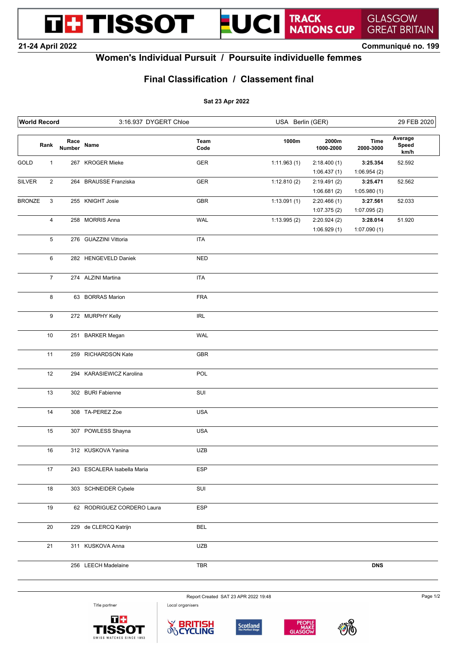**THE TISSOT** 



**GREAT BRITAIN 21-24 April 2022 Communiqué no. 199**

**GLASGOW** 

## **Women's Individual Pursuit / Poursuite individuelle femmes**

## **Final Classification / Classement final**

### **Sat 23 Apr 2022**

| <b>World Record</b> |                           |                       | 3:16.937 DYGERT Chloe       |              | USA Berlin (GER) |                    |                          | 29 FEB 2020              |
|---------------------|---------------------------|-----------------------|-----------------------------|--------------|------------------|--------------------|--------------------------|--------------------------|
|                     | Rank                      | Race<br><b>Number</b> | Name                        | Team<br>Code | 1000m            | 2000m<br>1000-2000 | <b>Time</b><br>2000-3000 | Average<br>Speed<br>km/h |
| GOLD                | $\mathbf{1}$              |                       | 267 KROGER Mieke            | GER          | 1:11.963(1)      | 2:18.400(1)        | 3:25.354                 | 52.592                   |
|                     |                           |                       |                             |              |                  | 1:06.437(1)        | 1:06.954(2)              |                          |
| SILVER              | $\overline{2}$            |                       | 264 BRAUSSE Franziska       | GER          | 1:12.810(2)      | 2:19.491(2)        | 3:25.471                 | 52.562                   |
|                     |                           |                       |                             |              |                  | 1:06.681(2)        | 1:05.980(1)              |                          |
| <b>BRONZE</b>       | $\ensuremath{\mathsf{3}}$ |                       | 255 KNIGHT Josie            | GBR          | 1:13.091(1)      | 2:20.466(1)        | 3:27.561                 | 52.033                   |
|                     |                           |                       |                             |              |                  | 1:07.375(2)        | 1:07.095(2)              |                          |
|                     | 4                         |                       | 258 MORRIS Anna             | <b>WAL</b>   | 1:13.995(2)      | 2:20.924(2)        | 3:28.014                 | 51.920                   |
|                     | 5                         |                       | 276 GUAZZINI Vittoria       | <b>ITA</b>   |                  | 1:06.929(1)        | 1:07.090(1)              |                          |
|                     | 6                         |                       | 282 HENGEVELD Daniek        | <b>NED</b>   |                  |                    |                          |                          |
|                     | $\overline{7}$            |                       | 274 ALZINI Martina          | <b>ITA</b>   |                  |                    |                          |                          |
|                     |                           |                       |                             |              |                  |                    |                          |                          |
|                     | 8                         |                       | 63 BORRAS Marion            | <b>FRA</b>   |                  |                    |                          |                          |
|                     | 9                         |                       | 272 MURPHY Kelly            | <b>IRL</b>   |                  |                    |                          |                          |
|                     | 10                        |                       | 251 BARKER Megan            | <b>WAL</b>   |                  |                    |                          |                          |
|                     | 11                        |                       | 259 RICHARDSON Kate         | GBR          |                  |                    |                          |                          |
|                     | 12                        |                       | 294 KARASIEWICZ Karolina    | <b>POL</b>   |                  |                    |                          |                          |
|                     | 13                        |                       | 302 BURI Fabienne           | SUI          |                  |                    |                          |                          |
|                     | 14                        |                       | 308 TA-PEREZ Zoe            | <b>USA</b>   |                  |                    |                          |                          |
|                     | 15                        |                       | 307 POWLESS Shayna          | <b>USA</b>   |                  |                    |                          |                          |
|                     | 16                        |                       | 312 KUSKOVA Yanina          | <b>UZB</b>   |                  |                    |                          |                          |
|                     | 17                        |                       | 243 ESCALERA Isabella Maria | <b>ESP</b>   |                  |                    |                          |                          |
|                     | 18                        |                       | 303 SCHNEIDER Cybele        | SUI          |                  |                    |                          |                          |
|                     | 19                        |                       | 62 RODRIGUEZ CORDERO Laura  | ESP          |                  |                    |                          |                          |
|                     | $20\,$                    |                       | 229 de CLERCQ Katrijn       | <b>BEL</b>   |                  |                    |                          |                          |
|                     | 21                        |                       | 311 KUSKOVA Anna            | <b>UZB</b>   |                  |                    |                          |                          |
|                     |                           |                       | 256 LEECH Madelaine         | TBR          |                  |                    | <b>DNS</b>               |                          |

Report Created SAT 23 APR 2022 19:48 Local organisers

Title partner